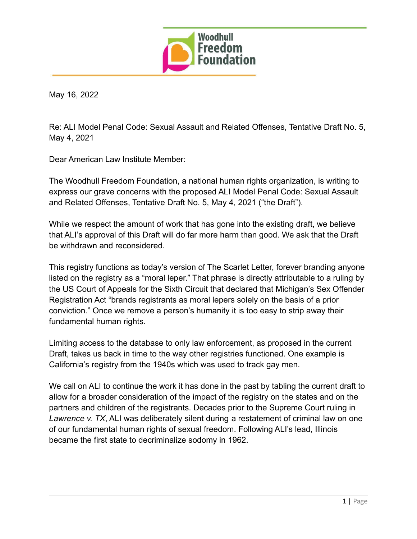

May 16, 2022

Re: ALI Model Penal Code: Sexual Assault and Related Offenses, Tentative Draft No. 5, May 4, 2021

Dear American Law Institute Member:

The Woodhull Freedom Foundation, a national human rights organization, is writing to express our grave concerns with the proposed ALI Model Penal Code: Sexual Assault and Related Offenses, Tentative Draft No. 5, May 4, 2021 ("the Draft").

While we respect the amount of work that has gone into the existing draft, we believe that ALI's approval of this Draft will do far more harm than good. We ask that the Draft be withdrawn and reconsidered.

This registry functions as today's version of The Scarlet Letter, forever branding anyone listed on the registry as a "moral leper." That phrase is directly attributable to a ruling by the US Court of Appeals for the Sixth Circuit that declared that Michigan's Sex Offender Registration Act "brands registrants as moral lepers solely on the basis of a prior conviction." Once we remove a person's humanity it is too easy to strip away their fundamental human rights.

Limiting access to the database to only law enforcement, as proposed in the current Draft, takes us back in time to the way other registries functioned. One example is California's registry from the 1940s which was used to track gay men.

We call on ALI to continue the work it has done in the past by tabling the current draft to allow for a broader consideration of the impact of the registry on the states and on the partners and children of the registrants. Decades prior to the Supreme Court ruling in *Lawrence v. TX*, ALI was deliberately silent during a restatement of criminal law on one of our fundamental human rights of sexual freedom. Following ALI's lead, Illinois became the first state to decriminalize sodomy in 1962.